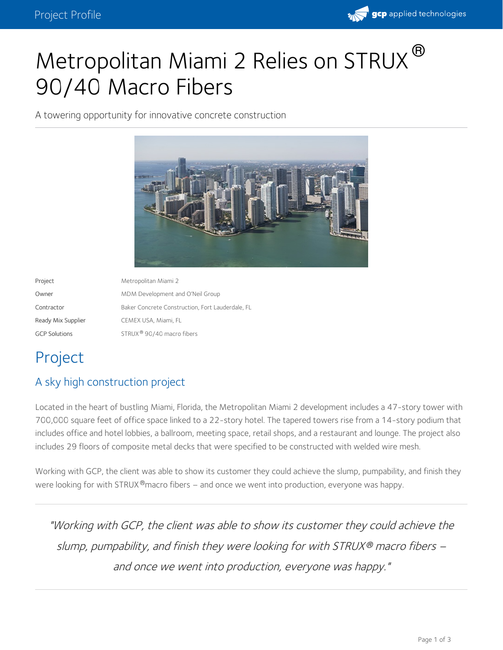

# Metropolitan Miami 2 Relies on STRUX  $^\circledR$ 90/40 Macro Fibers

A towering opportunity for innovative concrete construction



| Project              | Metropolitan Miami 2                             |
|----------------------|--------------------------------------------------|
| Owner                | MDM Development and O'Neil Group                 |
| Contractor           | Baker Concrete Construction, Fort Lauderdale, FL |
| Ready Mix Supplier   | CEMEX USA, Miami, FL                             |
| <b>GCP Solutions</b> | STRUX <sup>®</sup> 90/40 macro fibers            |

# Project

#### A sky high construction project

Located in the heart of bustling Miami, Florida, the Metropolitan Miami 2 development includes a 47-story tower with 700,000 square feet of office space linked to a 22-story hotel. The tapered towers rise from a 14-story podium that includes office and hotel lobbies, a ballroom, meeting space, retail shops, and a restaurant and lounge. The project also includes 29 floors of composite metal decks that were specified to be constructed with welded wire mesh.

Working with GCP, the client was able to show its customer they could achieve the slump, pumpability, and finish they were looking for with STRUX  $^\circledR$ macro fibers — and once we went into production, everyone was happy.

"Working with GCP, the client was able to show its customer they could achieve the slump, pumpability, and finish they were looking for with STRUX® macro fibers – and once we went into production, everyone was happy."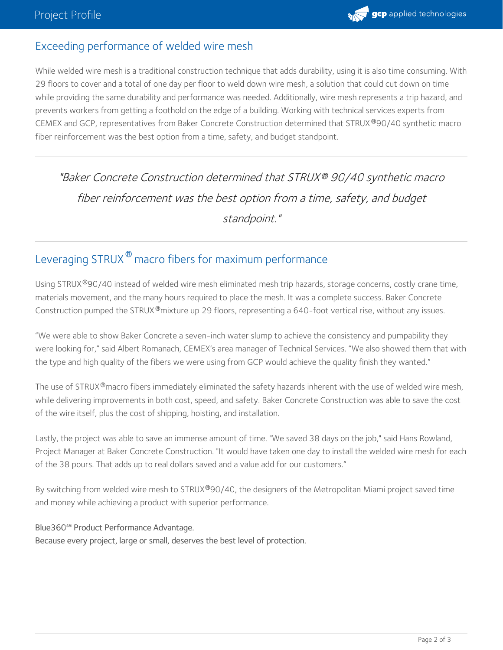### Exceeding performance of welded wire mesh

While welded wire mesh is a traditional construction technique that adds durability, using it is also time consuming. With 29 floors to cover and a total of one day per floor to weld down wire mesh, a solution that could cut down on time while providing the same durability and performance was needed. Additionally, wire mesh represents a trip hazard, and prevents workers from getting a foothold on the edge of a building. Working with technical services experts from CEMEX and GCP, representatives from Baker Concrete Construction determined that STRUX ®90/40 synthetic macro fiber reinforcement was the best option from a time, safety, and budget standpoint.

"Baker Concrete Construction determined that STRUX 90/40 synthetic macro *®* fiber reinforcement was the best option from <sup>a</sup> time, safety, and budget standpoint."

## Leveraging STRUX  $^\circledR$  macro fibers for maximum performance

Using STRUX®90/40 instead of welded wire mesh eliminated mesh trip hazards, storage concerns, costly crane time, materials movement, and the many hours required to place the mesh. It was a complete success. Baker Concrete Construction pumped the STRUX<sup>®</sup>mixture up 29 floors, representing a 640-foot vertical rise, without any issues.

"We were able to show Baker Concrete a seven-inch water slump to achieve the consistency and pumpability they were looking for," said Albert Romanach, CEMEX's area manager of Technical Services. "We also showed them that with the type and high quality of the fibers we were using from GCP would achieve the quality finish they wanted."

The use of STRUX®macro fibers immediately eliminated the safety hazards inherent with the use of welded wire mesh, while delivering improvements in both cost, speed, and safety. Baker Concrete Construction was able to save the cost of the wire itself, plus the cost of shipping, hoisting, and installation.

Lastly, the project was able to save an immense amount of time. "We saved 38 days on the job," said Hans Rowland, Project Manager at Baker Concrete Construction. "It would have taken one day to install the welded wire mesh for each of the 38 pours. That adds up to real dollars saved and a value add for our customers."

By switching from welded wire mesh to STRUX®90/40, the designers of the Metropolitan Miami project saved time and money while achieving a product with superior performance.

#### Blue360**℠** Product Performance Advantage.

Because every project, large or small, deserves the best level of protection.